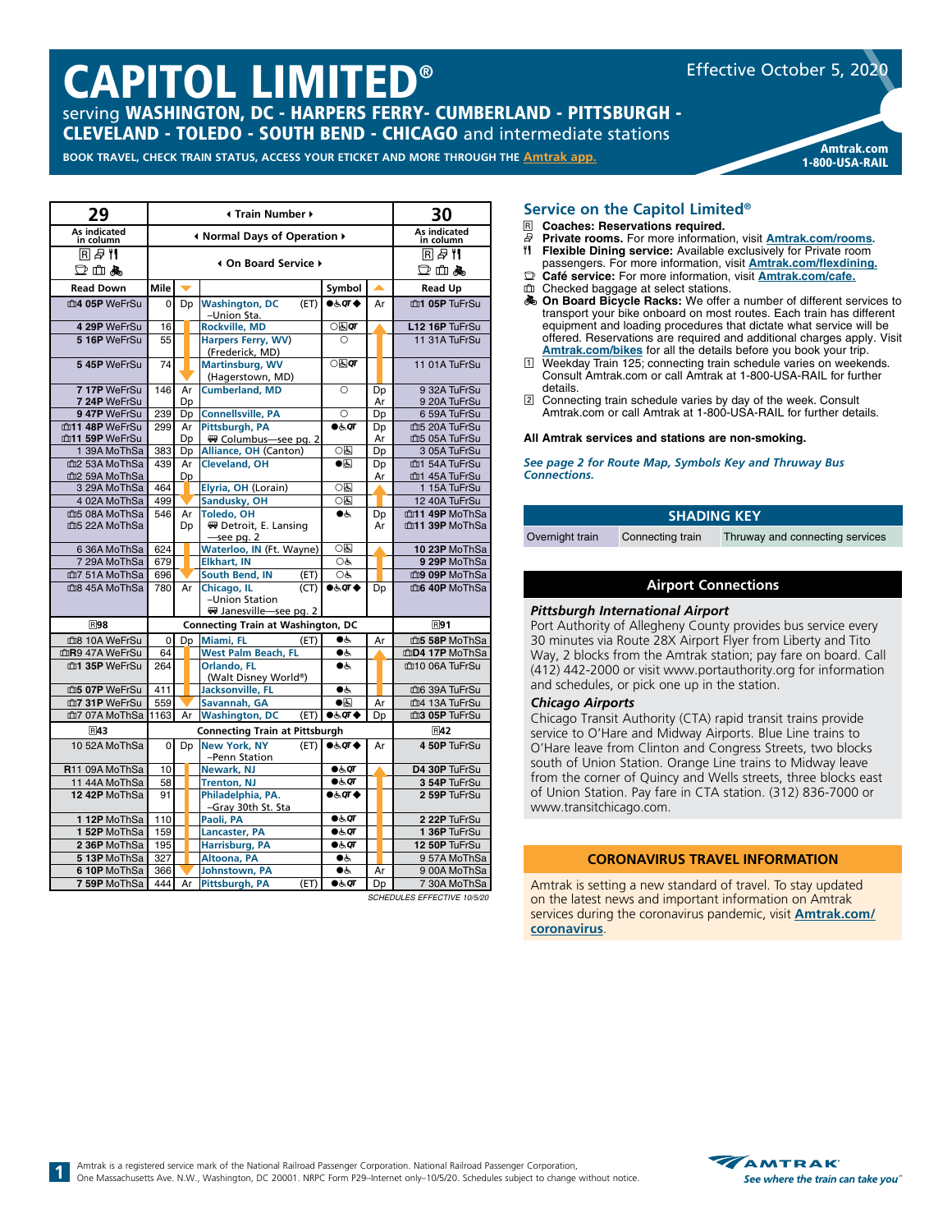# CAPITOL LIMITED®

serving WASHINGTON, DC - HARPERS FERRY- CUMBERLAND - PITTSBURGH - CLEVELAND - TOLEDO - SOUTH BEND - CHICAGO and intermediate stations

**BOOK TRAVEL, CHECK TRAIN STATUS, ACCESS YOUR ETICKET AND MORE THROUGH THE [Amtrak app](https://www.amtrak.com/mobile). Amtrak and a media and and a** 



Effective October 5, 2020

| 29                        | Irain Number +                    |    |                                              |                           | 30 |                           |                |
|---------------------------|-----------------------------------|----|----------------------------------------------|---------------------------|----|---------------------------|----------------|
| As indicated<br>in column | Inf Normal Days of Operation ♦    |    |                                              |                           |    | As indicated<br>in column |                |
| R#‼                       | <b>4 On Board Service ▶</b>       |    |                                              |                           |    | R#‼                       |                |
| 口山あ                       |                                   |    |                                              |                           |    |                           | ◘ 血晶           |
| <b>Read Down</b>          | Mile                              |    |                                              | Symbol                    |    |                           | <b>Read Up</b> |
| m4 05P WeFrSu             | $\overline{0}$                    | Dp | <b>Washington, DC</b><br>(ET)<br>-Union Sta. | 0.59T                     | Ar |                           | m1 05P TuFrSu  |
| 4 29P WeFrSu              | 16                                |    | <b>Rockville, MD</b>                         | ⊙ह्य <b>वा</b>            |    |                           | L12 16P TuFrSu |
| 5 16P WeFrSu              | 55                                |    | Harpers Ferry, WV)<br>(Frederick, MD)        | O                         |    |                           | 11 31A TuFrSu  |
| 5 45P WeFrSu              | 74                                |    | <b>Martinsburg, WV</b><br>(Hagerstown, MD)   | $\bigcirc$ ह्य $\sigma$   |    |                           | 11 01A TuFrSu  |
| 717P WeFrSu               | 146                               | Ar | <b>Cumberland, MD</b>                        | O                         | Dp |                           | 9 32A TuFrSu   |
| 7 24P WeFrSu              |                                   | Dp |                                              |                           | Ar |                           | 9 20A TuFrSu   |
| 947P WeFrSu               | 239                               | Dp | <b>Connellsville, PA</b>                     | O                         | Dp |                           | 6 59A TuFrSu   |
| m11 48P WeFrSu            | 299                               | Ar | Pittsburgh, PA                               | $\bullet \in \mathsf{QT}$ | Dp |                           | m5 20A TuFrSu  |
| m11 59P WeFrSu            |                                   | Dp | Columbus-see pg. 2                           |                           | Ar |                           | m5 05A TuFrSu  |
| 1 39A MoThSa              | 383                               | Dp | Alliance, OH (Canton)                        | 06                        | Dp |                           | 3 05A TuFrSu   |
| m2 53A MoThSa             | 439                               | Ar | <b>Cleveland, OH</b>                         | $\bullet$ 6               | Dp |                           | m1 54A TuFrSu  |
| m2 59A MoThSa             |                                   | Dp |                                              |                           | Ar |                           | m1 45A TuFrSu  |
| 3 29A MoThSa              | 464                               |    | Elyria, OH (Lorain)                          | 0因                        |    |                           | 1 15A TuFrSu   |
| 4 02A MoThSa              | 499                               |    | Sandusky, OH                                 | 0固                        |    |                           | 12 40A TuFrSu  |
| 血5 08A MoThSa             | 546                               | Ar | <b>Toledo, OH</b>                            | ●ر                        | Dp |                           | m11 49P MoThSa |
| m5 22A MoThSa             |                                   | Dp | ₩ Detroit, E. Lansing<br>-see pg. 2          |                           | Ar |                           | m11 39P MoThSa |
| 6 36A MoThSa              | 624                               |    | Waterloo, IN (Ft. Wayne)                     | 0固                        |    |                           | 10 23P MoThSa  |
| 7 29A MoThSa              | 679                               |    | <b>Elkhart, IN</b>                           | OĠ                        |    |                           | 9 29P MoThSa   |
| 血7 51A MoThSa             | 696                               |    | South Bend, IN<br>(ET)                       | OĠ                        |    |                           | m9 09P MoThSa  |
| 血8 45A MoThSa             | 780                               | Ar | Chicago, IL<br>(CT)                          | 0.50T                     | Dp |                           | m6 40P MoThSa  |
|                           |                                   |    | -Union Station                               |                           |    |                           |                |
|                           |                                   |    | ₩ Janesville-see pg. 2                       |                           |    |                           |                |
| <b>R98</b>                |                                   |    | <b>Connecting Train at Washington, DC</b>    |                           |    |                           | <b>R91</b>     |
| m3 10A WeFrSu             | $\overline{0}$                    | Dp | Miami, FL<br>(ET)                            | $\bullet$                 | Ar |                           | m5 58P MoThSa  |
| mR9 47A WeFrSu            | 64                                |    | <b>West Palm Beach, FL</b>                   | ●ر                        |    |                           | mD4 17P MoThSa |
| m1 35P WeFrSu             | 264                               |    | Orlando, FL                                  | $\bullet$                 |    |                           | m10 06A TuFrSu |
|                           |                                   |    | (Walt Disney World®)                         |                           |    |                           |                |
| m5 07P WeFrSu             | 411                               |    | Jacksonville, FL                             | $\bullet$<br>$\bullet$    |    |                           | m6 39A TuFrSu  |
| 血7 31P WeFrSu             | 559                               |    | Savannah, GA                                 |                           | Ar |                           | m4 13A TuFrSu  |
| 血7 07A MoThSa             | 1163                              | Ar | <b>Washington, DC</b><br>(ET)                | 0.50T                     | Dp |                           | m3 05P TuFrSu  |
| R43                       |                                   |    | <b>Connecting Train at Pittsburgh</b>        |                           |    |                           | R42            |
| 10 52A MoThSa             | $\Omega$                          | Dp | <b>New York, NY</b><br>(ET)<br>-Penn Station | 0.59T                     | Ar |                           | 4 50P TuFrSu   |
| R11 09A MoThSa            | 10                                |    | Newark, NJ                                   | $\bullet \in \mathsf{QT}$ |    |                           | D4 30P TuFrSu  |
| 11 44A MoThSa             | 58                                |    | <b>Trenton, NJ</b>                           | $\bullet$ க்ள             |    |                           | 3 54P TuFrSu   |
| 12 42P MoThSa             | 91                                |    | Philadelphia, PA.                            | 0.59T                     |    |                           | 2 59P TuFrSu   |
| 112P MoThSa               | 110                               |    | -Gray 30th St. Sta<br>Paoli, PA              | $\bullet \in \mathsf{QT}$ |    |                           | 2 22P TuFrSu   |
| 152P MoThSa               | 159                               |    | <b>Lancaster, PA</b>                         | $\bullet$ க்ள             |    |                           | 1 36P TuFrSu   |
| 2 36P MoThSa              | 195                               |    | <b>Harrisburg, PA</b>                        | $\bullet \in \mathsf{QT}$ |    |                           | 12 50P TuFrSu  |
| 5 13P MoThSa              | 327                               |    | Altoona, PA                                  | ●ر                        |    |                           | 957A MoThSa    |
| 6 10P MoThSa              | 366                               |    | Johnstown, PA                                | $\bullet$ ċ               | Ar |                           | 9 00A MoThSa   |
| 7 59P MoThSa              | 444                               | Ar | Pittsburgh, PA<br>(ET)                       | $\bullet$ க்ர             |    |                           | 7 30A MoThSa   |
|                           | Dp<br>SCHEDULES EFFECTIVE 10/5/20 |    |                                              |                           |    |                           |                |

#### **Service on the Capitol Limited®**

## **R Coaches: Reservations required.**<br>*B* **Private rooms. For more information**

- s **Private rooms.** For more information, visit **[Amtrak.com/rooms](https://www.amtrak.com/rooms).**
- **fl** Flexible Dining service: Available exclusively for Private room
- passengers. For more information, visit **[Amtrak.com/flexdining.](https://www.amtrak.com/flexdining)** y **Café service:** For more information, visit **[Amtrak.com/](https://www.amtrak.com/cafe)cafe.**
- checked baggage at select stations.
- **A** On Board Bicycle Racks: We offer a number of different services to
- transport your bike onboard on most routes. Each train has different equipment and loading procedures that dictate what service will be offered. Reservations are required and additional charges apply. Visit **[Amtrak.com/bikes](https://www.amtrak.com/bikes)** for all the details before you book your trip.
- 1 Weekday Train 125; connecting train schedule varies on weekends. Consult Amtrak.com or call Amtrak at 1-800-USA-RAIL for further details.
- 2 Connecting train schedule varies by day of the week. Consult Amtrak.com or call Amtrak at 1-800-USA-RAIL for further details.

#### **All Amtrak services and stations are non-smoking.**

*See page 2 for Route Map, Symbols Key and Thruway Bus Connections.*

| <b>SHADING KEY</b> |                  |                                 |  |  |  |  |  |
|--------------------|------------------|---------------------------------|--|--|--|--|--|
| Overnight train    | Connecting train | Thruway and connecting services |  |  |  |  |  |
|                    |                  |                                 |  |  |  |  |  |

#### **Airport Connections**

#### *Pittsburgh International Airport*

Port Authority of Allegheny County provides bus service every 30 minutes via Route 28X Airport Flyer from Liberty and Tito Way, 2 blocks from the Amtrak station; pay fare on board. Call (412) 442-2000 or visit www.portauthority.org for information and schedules, or pick one up in the station.

#### *Chicago Airports*

Chicago Transit Authority (CTA) rapid transit trains provide service to O'Hare and Midway Airports. Blue Line trains to O'Hare leave from Clinton and Congress Streets, two blocks south of Union Station. Orange Line trains to Midway leave from the corner of Quincy and Wells streets, three blocks east of Union Station. Pay fare in CTA station. (312) 836-7000 or www.transitchicago.com.

#### **CORONAVIRUS TRAVEL INFORMATION**

Amtrak is setting a new standard of travel. To stay updated on the latest news and important information on Amtrak services during the coronavirus pandemic, visit **[Amtrak.com/](https://www.amtrak.com/coronavirus) coronavirus**.